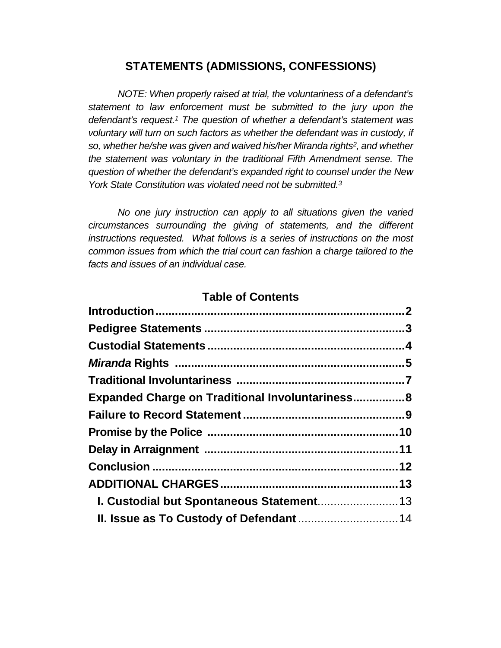# **STATEMENTS (ADMISSIONS, CONFESSIONS)**

*NOTE: When properly raised at trial, the voluntariness of a defendant's statement to law enforcement must be submitted to the jury upon the defendant's request.<sup>1</sup> The question of whether a defendant's statement was voluntary will turn on such factors as whether the defendant was in custody, if so, whether he/she was given and waived his/her Miranda rights<sup>2</sup> , and whether the statement was voluntary in the traditional Fifth Amendment sense. The question of whether the defendant's expanded right to counsel under the New York State Constitution was violated need not be submitted.<sup>3</sup>*

*No one jury instruction can apply to all situations given the varied circumstances surrounding the giving of statements, and the different instructions requested. What follows is a series of instructions on the most common issues from which the trial court can fashion a charge tailored to the facts and issues of an individual case.* 

## **Table of Contents**

| <b>Expanded Charge on Traditional Involuntariness 8</b> |  |
|---------------------------------------------------------|--|
|                                                         |  |
|                                                         |  |
|                                                         |  |
|                                                         |  |
|                                                         |  |
| I. Custodial but Spontaneous Statement 13               |  |
|                                                         |  |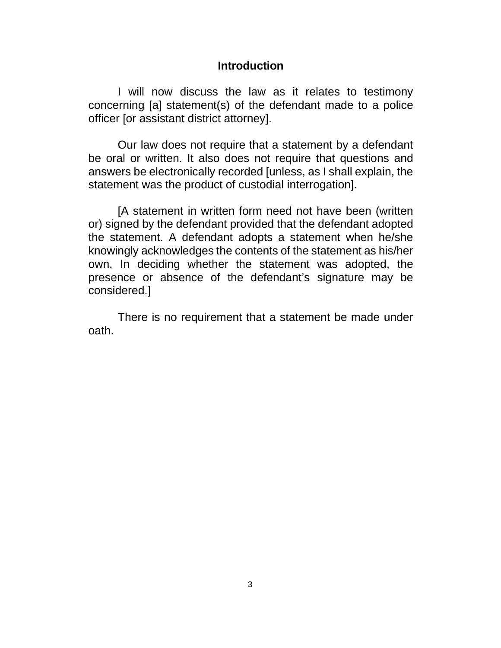## **Introduction**

I will now discuss the law as it relates to testimony concerning [a] statement(s) of the defendant made to a police officer [or assistant district attorney].

Our law does not require that a statement by a defendant be oral or written. It also does not require that questions and answers be electronically recorded [unless, as I shall explain, the statement was the product of custodial interrogation].

[A statement in written form need not have been (written or) signed by the defendant provided that the defendant adopted the statement. A defendant adopts a statement when he/she knowingly acknowledges the contents of the statement as his/her own. In deciding whether the statement was adopted, the presence or absence of the defendant's signature may be considered.]

There is no requirement that a statement be made under oath.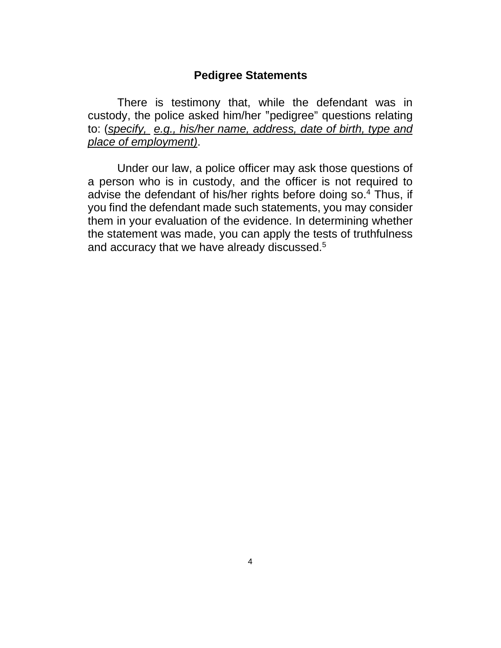## **Pedigree Statements**

There is testimony that, while the defendant was in custody, the police asked him/her "pedigree" questions relating to: (*specify, e.g., his/her name, address, date of birth, type and place of employment)*.

Under our law, a police officer may ask those questions of a person who is in custody, and the officer is not required to advise the defendant of his/her rights before doing so.<sup>4</sup> Thus, if you find the defendant made such statements, you may consider them in your evaluation of the evidence. In determining whether the statement was made, you can apply the tests of truthfulness and accuracy that we have already discussed.<sup>5</sup>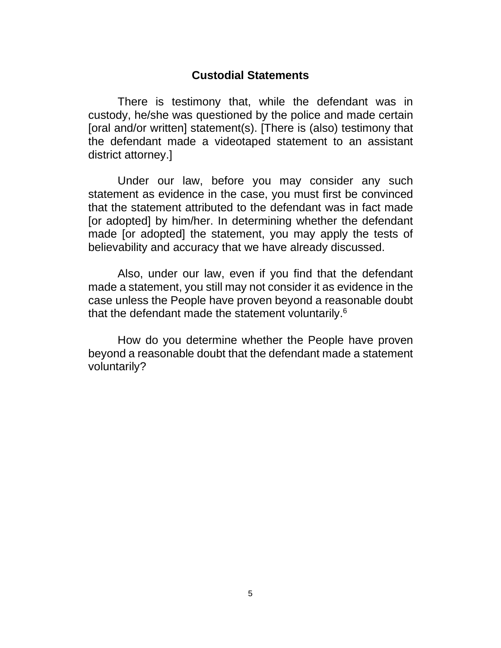## **Custodial Statements**

There is testimony that, while the defendant was in custody, he/she was questioned by the police and made certain [oral and/or written] statement(s). [There is (also) testimony that the defendant made a videotaped statement to an assistant district attorney.]

Under our law, before you may consider any such statement as evidence in the case, you must first be convinced that the statement attributed to the defendant was in fact made [or adopted] by him/her. In determining whether the defendant made [or adopted] the statement, you may apply the tests of believability and accuracy that we have already discussed.

Also, under our law, even if you find that the defendant made a statement, you still may not consider it as evidence in the case unless the People have proven beyond a reasonable doubt that the defendant made the statement voluntarily.<sup>6</sup>

How do you determine whether the People have proven beyond a reasonable doubt that the defendant made a statement voluntarily?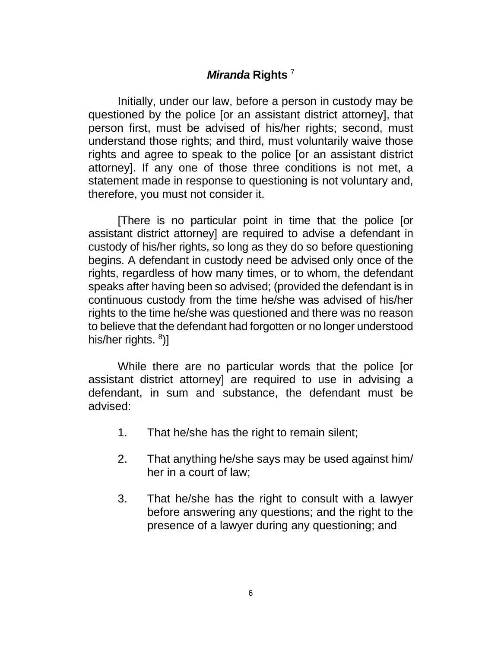# *Miranda* **Rights** <sup>7</sup>

Initially, under our law, before a person in custody may be questioned by the police [or an assistant district attorney], that person first, must be advised of his/her rights; second, must understand those rights; and third, must voluntarily waive those rights and agree to speak to the police [or an assistant district attorney]. If any one of those three conditions is not met, a statement made in response to questioning is not voluntary and, therefore, you must not consider it.

[There is no particular point in time that the police [or assistant district attorney] are required to advise a defendant in custody of his/her rights, so long as they do so before questioning begins. A defendant in custody need be advised only once of the rights, regardless of how many times, or to whom, the defendant speaks after having been so advised; (provided the defendant is in continuous custody from the time he/she was advised of his/her rights to the time he/she was questioned and there was no reason to believe that the defendant had forgotten or no longer understood his/her rights. <sup>8</sup>)]

While there are no particular words that the police [or assistant district attorney] are required to use in advising a defendant, in sum and substance, the defendant must be advised:

- 1. That he/she has the right to remain silent;
- 2. That anything he/she says may be used against him/ her in a court of law;
- 3. That he/she has the right to consult with a lawyer before answering any questions; and the right to the presence of a lawyer during any questioning; and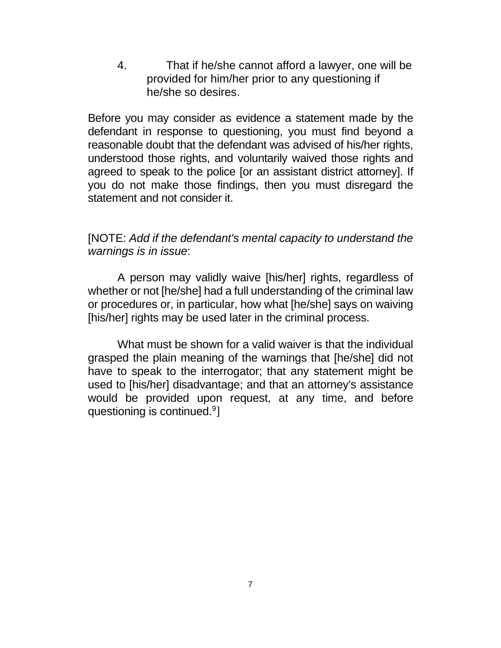4. That if he/she cannot afford a lawyer, one will be provided for him/her prior to any questioning if he/she so desires.

Before you may consider as evidence a statement made by the defendant in response to questioning, you must find beyond a reasonable doubt that the defendant was advised of his/her rights, understood those rights, and voluntarily waived those rights and agreed to speak to the police [or an assistant district attorney]. If you do not make those findings, then you must disregard the statement and not consider it.

# [NOTE: *Add if the defendant's mental capacity to understand the warnings is in issue*:

A person may validly waive [his/her] rights, regardless of whether or not [he/she] had a full understanding of the criminal law or procedures or, in particular, how what [he/she] says on waiving [his/her] rights may be used later in the criminal process.

What must be shown for a valid waiver is that the individual grasped the plain meaning of the warnings that [he/she] did not have to speak to the interrogator; that any statement might be used to [his/her] disadvantage; and that an attorney's assistance would be provided upon request, at any time, and before questioning is continued.<sup>9</sup>]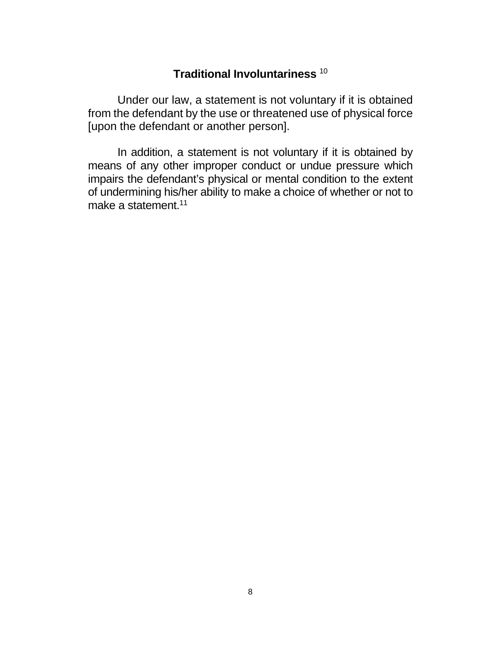# **Traditional Involuntariness** <sup>10</sup>

Under our law, a statement is not voluntary if it is obtained from the defendant by the use or threatened use of physical force [upon the defendant or another person].

In addition, a statement is not voluntary if it is obtained by means of any other improper conduct or undue pressure which impairs the defendant's physical or mental condition to the extent of undermining his/her ability to make a choice of whether or not to make a statement.<sup>11</sup>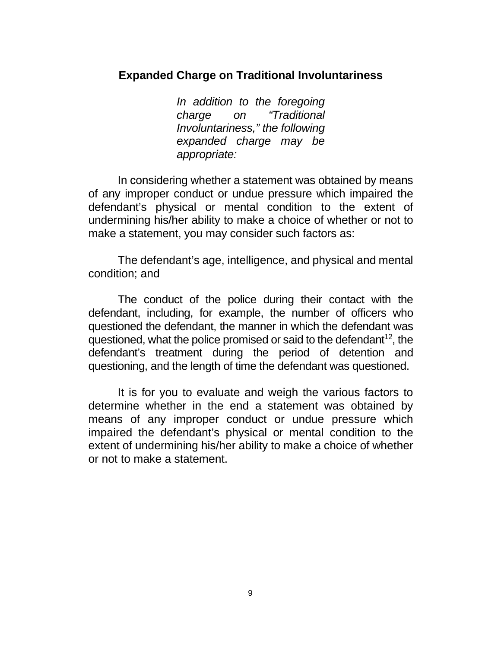## **Expanded Charge on Traditional Involuntariness**

*In addition to the foregoing charge on "Traditional Involuntariness," the following expanded charge may be appropriate:* 

In considering whether a statement was obtained by means of any improper conduct or undue pressure which impaired the defendant's physical or mental condition to the extent of undermining his/her ability to make a choice of whether or not to make a statement, you may consider such factors as:

The defendant's age, intelligence, and physical and mental condition; and

The conduct of the police during their contact with the defendant, including, for example, the number of officers who questioned the defendant, the manner in which the defendant was questioned, what the police promised or said to the defendant<sup>12</sup>, the defendant's treatment during the period of detention and questioning, and the length of time the defendant was questioned.

It is for you to evaluate and weigh the various factors to determine whether in the end a statement was obtained by means of any improper conduct or undue pressure which impaired the defendant's physical or mental condition to the extent of undermining his/her ability to make a choice of whether or not to make a statement.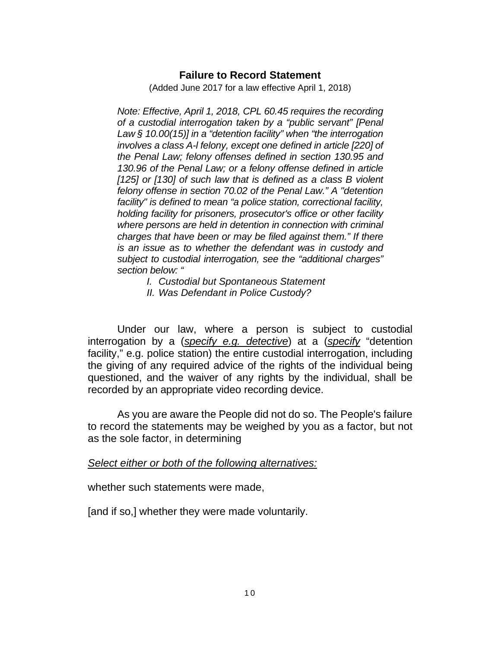#### **Failure to Record Statement**

(Added June 2017 for a law effective April 1, 2018)

*Note: Effective, April 1, 2018, CPL 60.45 requires the recording of a custodial interrogation taken by a "public servant" [Penal Law § 10.00(15)] in a "detention facility" when "the interrogation involves a class A-l felony, except one defined in article [220] of the Penal Law; felony offenses defined in section 130.95 and 130.96 of the Penal Law; or a felony offense defined in article [125] or [130] of such law that is defined as a class B violent felony offense in section 70.02 of the Penal Law." A "detention facility" is defined to mean "a police station, correctional facility, holding facility for prisoners, prosecutor's office or other facility where persons are held in detention in connection with criminal charges that have been or may be filed against them." If there is an issue as to whether the defendant was in custody and subject to custodial interrogation, see the "additional charges" section below: "* 

*I. Custodial but Spontaneous Statement* 

*II. Was Defendant in Police Custody?* 

Under our law, where a person is subject to custodial interrogation by a (*specify e.g. detective*) at a (*specify* "detention facility," e.g. police station) the entire custodial interrogation, including the giving of any required advice of the rights of the individual being questioned, and the waiver of any rights by the individual, shall be recorded by an appropriate video recording device.

As you are aware the People did not do so. The People's failure to record the statements may be weighed by you as a factor, but not as the sole factor, in determining

#### *Select either or both of the following alternatives:*

whether such statements were made,

[and if so,] whether they were made voluntarily.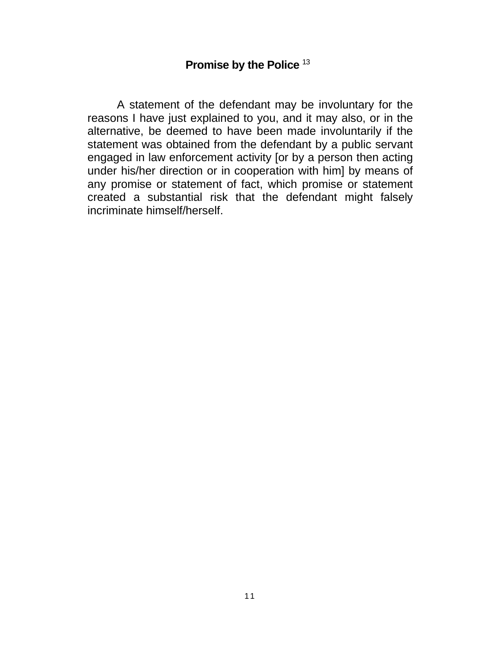# **Promise by the Police** <sup>13</sup>

A statement of the defendant may be involuntary for the reasons I have just explained to you, and it may also, or in the alternative, be deemed to have been made involuntarily if the statement was obtained from the defendant by a public servant engaged in law enforcement activity [or by a person then acting under his/her direction or in cooperation with him] by means of any promise or statement of fact, which promise or statement created a substantial risk that the defendant might falsely incriminate himself/herself.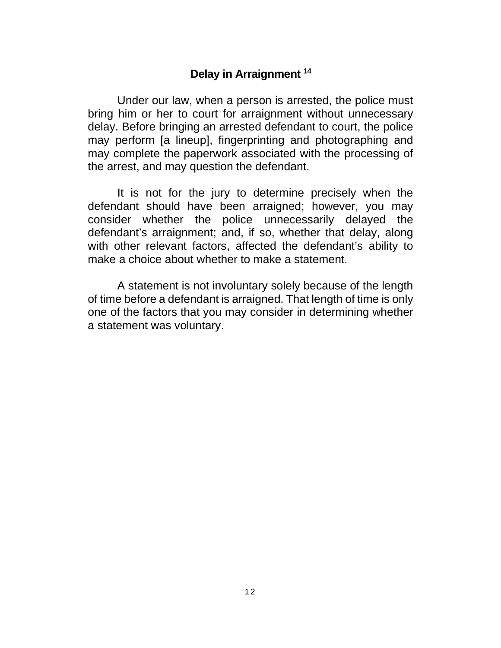## **Delay in Arraignment <sup>14</sup>**

Under our law, when a person is arrested, the police must bring him or her to court for arraignment without unnecessary delay. Before bringing an arrested defendant to court, the police may perform [a lineup], fingerprinting and photographing and may complete the paperwork associated with the processing of the arrest, and may question the defendant.

It is not for the jury to determine precisely when the defendant should have been arraigned; however, you may consider whether the police unnecessarily delayed the defendant's arraignment; and, if so, whether that delay, along with other relevant factors, affected the defendant's ability to make a choice about whether to make a statement.

A statement is not involuntary solely because of the length of time before a defendant is arraigned. That length of time is only one of the factors that you may consider in determining whether a statement was voluntary.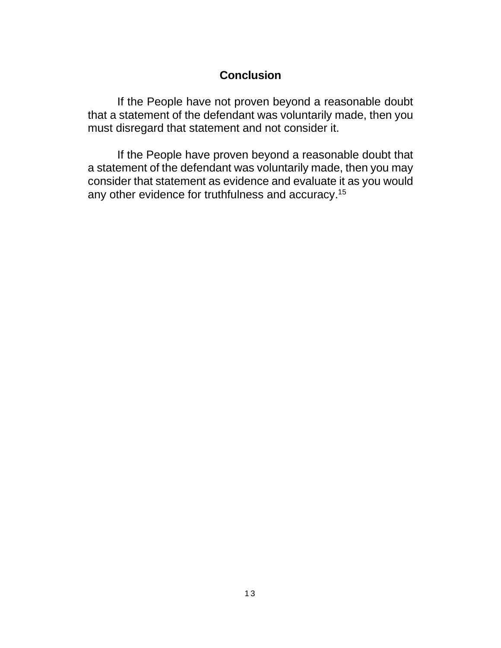## **Conclusion**

If the People have not proven beyond a reasonable doubt that a statement of the defendant was voluntarily made, then you must disregard that statement and not consider it.

If the People have proven beyond a reasonable doubt that a statement of the defendant was voluntarily made, then you may consider that statement as evidence and evaluate it as you would any other evidence for truthfulness and accuracy.<sup>15</sup>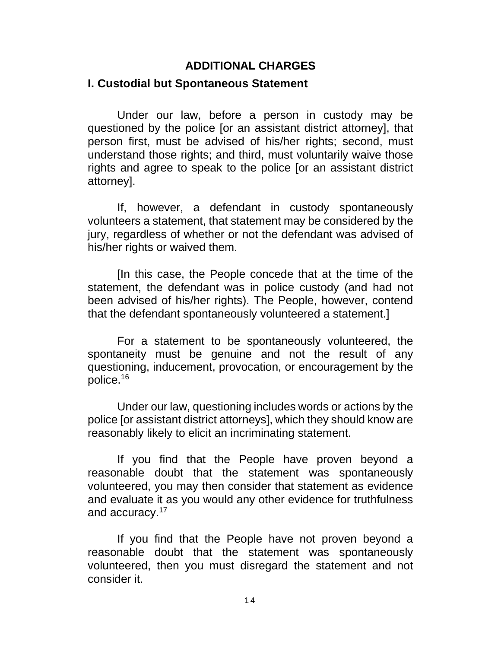# **ADDITIONAL CHARGES**

## **I. Custodial but Spontaneous Statement**

Under our law, before a person in custody may be questioned by the police [or an assistant district attorney], that person first, must be advised of his/her rights; second, must understand those rights; and third, must voluntarily waive those rights and agree to speak to the police [or an assistant district attorney].

If, however, a defendant in custody spontaneously volunteers a statement, that statement may be considered by the jury, regardless of whether or not the defendant was advised of his/her rights or waived them.

[In this case, the People concede that at the time of the statement, the defendant was in police custody (and had not been advised of his/her rights). The People, however, contend that the defendant spontaneously volunteered a statement.]

For a statement to be spontaneously volunteered, the spontaneity must be genuine and not the result of any questioning, inducement, provocation, or encouragement by the police.<sup>16</sup>

Under our law, questioning includes words or actions by the police [or assistant district attorneys], which they should know are reasonably likely to elicit an incriminating statement.

If you find that the People have proven beyond a reasonable doubt that the statement was spontaneously volunteered, you may then consider that statement as evidence and evaluate it as you would any other evidence for truthfulness and accuracy.<sup>17</sup>

If you find that the People have not proven beyond a reasonable doubt that the statement was spontaneously volunteered, then you must disregard the statement and not consider it.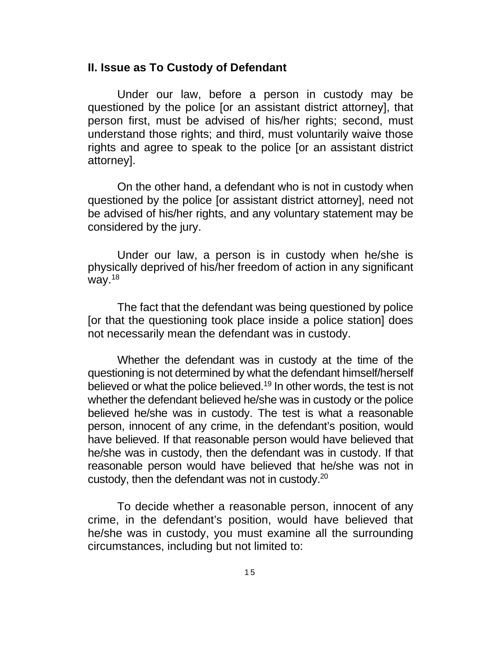#### **II. Issue as To Custody of Defendant**

Under our law, before a person in custody may be questioned by the police [or an assistant district attorney], that person first, must be advised of his/her rights; second, must understand those rights; and third, must voluntarily waive those rights and agree to speak to the police [or an assistant district attorney].

On the other hand, a defendant who is not in custody when questioned by the police [or assistant district attorney], need not be advised of his/her rights, and any voluntary statement may be considered by the jury.

Under our law, a person is in custody when he/she is physically deprived of his/her freedom of action in any significant way. $18$ 

The fact that the defendant was being questioned by police [or that the questioning took place inside a police station] does not necessarily mean the defendant was in custody.

Whether the defendant was in custody at the time of the questioning is not determined by what the defendant himself/herself believed or what the police believed.<sup>19</sup> In other words, the test is not whether the defendant believed he/she was in custody or the police believed he/she was in custody. The test is what a reasonable person, innocent of any crime, in the defendant's position, would have believed. If that reasonable person would have believed that he/she was in custody, then the defendant was in custody. If that reasonable person would have believed that he/she was not in custody, then the defendant was not in custody.<sup>20</sup>

To decide whether a reasonable person, innocent of any crime, in the defendant's position, would have believed that he/she was in custody, you must examine all the surrounding circumstances, including but not limited to: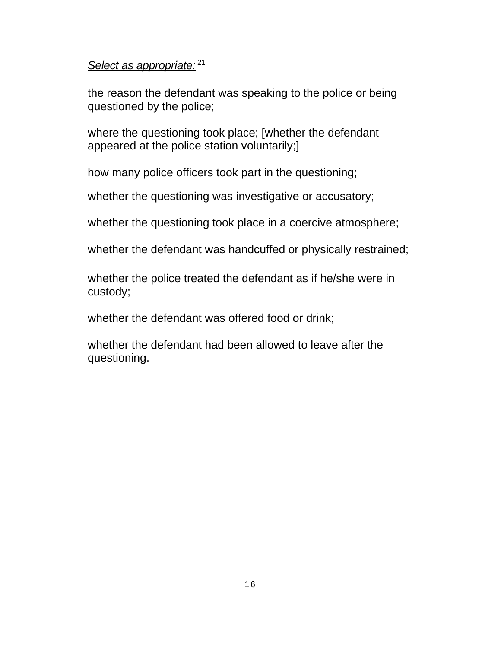## *Select as appropriate:*<sup>21</sup>

the reason the defendant was speaking to the police or being questioned by the police;

where the questioning took place; [whether the defendant appeared at the police station voluntarily;]

how many police officers took part in the questioning;

whether the questioning was investigative or accusatory;

whether the questioning took place in a coercive atmosphere;

whether the defendant was handcuffed or physically restrained;

whether the police treated the defendant as if he/she were in custody;

whether the defendant was offered food or drink;

whether the defendant had been allowed to leave after the questioning.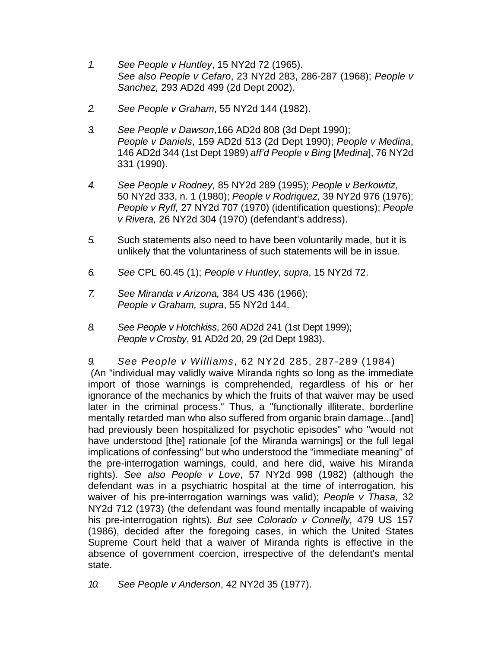- *1. See People v Huntley*, 15 NY2d 72 (1965). *See also People v Cefaro*, 23 NY2d 283, 286-287 (1968); *People v Sanchez,* 293 AD2d 499 (2d Dept 2002).
- *2. See People v Graham*, 55 NY2d 144 (1982).
- *3. See People v Dawson*,166 AD2d 808 (3d Dept 1990); *People v Daniels*, 159 AD2d 513 (2d Dept 1990); *People v Medina*, 146 AD2d 344 (1st Dept 1989) *aff'd People v Bing* [*Medina*], 76 NY2d 331 (1990).
- *4. See People v Rodney,* 85 NY2d 289 (1995); *People v Berkowtiz,*  50 NY2d 333, n. 1 (1980); *People v Rodriquez,* 39 NY2d 976 (1976); *People v Ryff,* 27 NY2d 707 (1970) (identification questions); *People v Rivera,* 26 NY2d 304 (1970) (defendant's address).
- *5.* Such statements also need to have been voluntarily made, but it is unlikely that the voluntariness of such statements will be in issue.
- *6. See* CPL 60.45 (1); *People v Huntley, supra*, 15 NY2d 72.
- *7. See Miranda v Arizona,* 384 US 436 (1966); *People v Graham, supra*, 55 NY2d 144.
- *8. See People v Hotchkiss*, 260 AD2d 241 (1st Dept 1999); *People v Crosby*, 91 AD2d 20, 29 (2d Dept 1983).

*9. See People v Williams*, 62 NY2d 285, 287-289 (1984) (An "individual may validly waive Miranda rights so long as the immediate import of those warnings is comprehended, regardless of his or her ignorance of the mechanics by which the fruits of that waiver may be used later in the criminal process." Thus, a "functionally illiterate, borderline mentally retarded man who also suffered from organic brain damage...[and] had previously been hospitalized for psychotic episodes" who "would not have understood [the] rationale [of the Miranda warnings] or the full legal implications of confessing" but who understood the "immediate meaning" of the pre-interrogation warnings, could, and here did, waive his Miranda rights). *See also People v Love*, 57 NY2d 998 (1982) (although the defendant was in a psychiatric hospital at the time of interrogation, his waiver of his pre-interrogation warnings was valid); *People v Thasa,* 32 NY2d 712 (1973) (the defendant was found mentally incapable of waiving his pre-interrogation rights). *But see Colorado v Connelly,* 479 US 157 (1986), decided after the foregoing cases, in which the United States Supreme Court held that a waiver of Miranda rights is effective in the absence of government coercion, irrespective of the defendant's mental state.

*10. See People v Anderson*, 42 NY2d 35 (1977).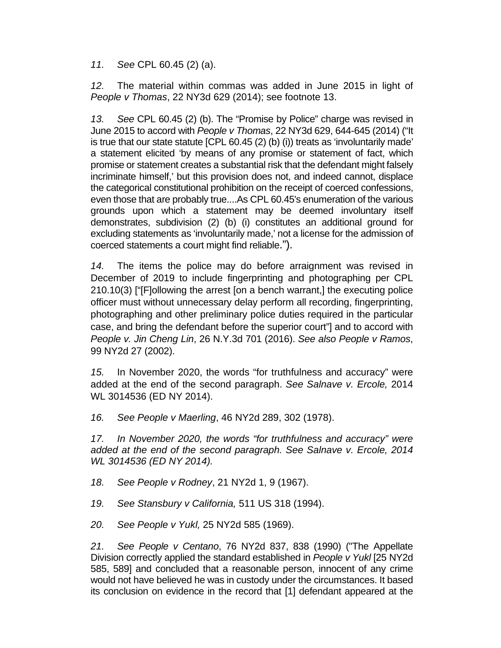*11. See* CPL 60.45 (2) (a).

*12.* The material within commas was added in June 2015 in light of *People v Thomas*, 22 NY3d 629 (2014); see footnote 13.

*13. See* CPL 60.45 (2) (b). The "Promise by Police" charge was revised in June 2015 to accord with *People v Thomas*, 22 NY3d 629, 644-645 (2014) ("It is true that our state statute [CPL 60.45 (2) (b) (i)) treats as 'involuntarily made' a statement elicited 'by means of any promise or statement of fact, which promise or statement creates a substantial risk that the defendant might falsely incriminate himself,' but this provision does not, and indeed cannot, displace the categorical constitutional prohibition on the receipt of coerced confessions, even those that are probably true....As CPL 60.45's enumeration of the various grounds upon which a statement may be deemed involuntary itself demonstrates, subdivision (2) (b) (i) constitutes an additional ground for excluding statements as 'involuntarily made,' not a license for the admission of coerced statements a court might find reliable.").

*14.* The items the police may do before arraignment was revised in December of 2019 to include fingerprinting and photographing per CPL 210.10(3) ["[F]ollowing the arrest [on a bench warrant,] the executing police officer must without unnecessary delay perform all recording, fingerprinting, photographing and other preliminary police duties required in the particular case, and bring the defendant before the superior court"] and to accord with *People v. Jin Cheng Lin*, 26 N.Y.3d 701 (2016). *See also People v Ramos*, 99 NY2d 27 (2002).

*15.* In November 2020, the words "for truthfulness and accuracy" were added at the end of the second paragraph. *See Salnave v. Ercole,* 2014 WL 3014536 (ED NY 2014).

*16. See People v Maerling*, 46 NY2d 289, 302 (1978).

*17. In November 2020, the words "for truthfulness and accuracy" were added at the end of the second paragraph. See Salnave v. Ercole, 2014 WL 3014536 (ED NY 2014).* 

*18. See People v Rodney*, 21 NY2d 1, 9 (1967).

*19. See Stansbury v California,* 511 US 318 (1994).

*20. See People v Yukl,* 25 NY2d 585 (1969).

*21. See People v Centano*, 76 NY2d 837, 838 (1990) ("The Appellate Division correctly applied the standard established in *People v Yukl* [25 NY2d 585, 589] and concluded that a reasonable person, innocent of any crime would not have believed he was in custody under the circumstances. It based its conclusion on evidence in the record that [1] defendant appeared at the